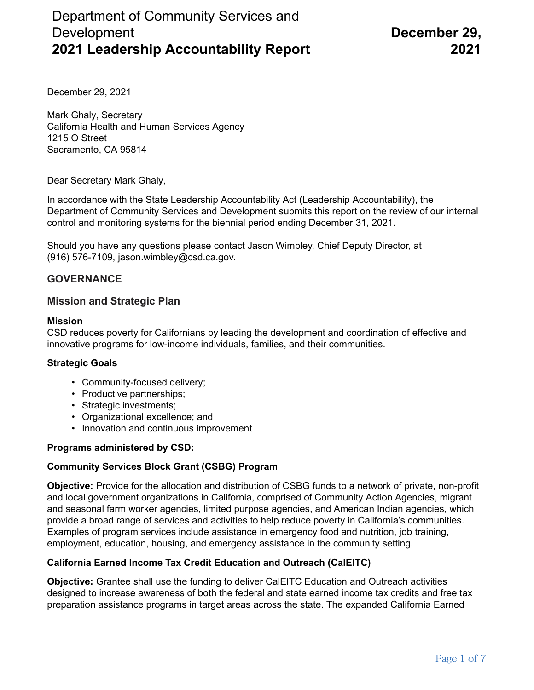December 29, 2021

Mark Ghaly, Secretary California Health and Human Services Agency 1215 O Street Sacramento, CA 95814

Dear Secretary Mark Ghaly,

In accordance with the State Leadership Accountability Act (Leadership Accountability), the Department of Community Services and Development submits this report on the review of our internal control and monitoring systems for the biennial period ending December 31, 2021.

Should you have any questions please contact Jason Wimbley, Chief Deputy Director, at (916) 576-7109, jason.wimbley@csd.ca.gov.

### **GOVERNANCE**

### **Mission and Strategic Plan**

#### **Mission**

CSD reduces poverty for Californians by leading the development and coordination of effective and innovative programs for low-income individuals, families, and their communities.

#### **Strategic Goals**

- Community-focused delivery;
- Productive partnerships;
- Strategic investments;
- Organizational excellence; and
- Innovation and continuous improvement

#### **Programs administered by CSD:**

#### **Community Services Block Grant (CSBG) Program**

**Objective:** Provide for the allocation and distribution of CSBG funds to a network of private, non-profit and local government organizations in California, comprised of Community Action Agencies, migrant and seasonal farm worker agencies, limited purpose agencies, and American Indian agencies, which provide a broad range of services and activities to help reduce poverty in California's communities. Examples of program services include assistance in emergency food and nutrition, job training, employment, education, housing, and emergency assistance in the community setting.

### **California Earned Income Tax Credit Education and Outreach (CalEITC)**

**Objective:** Grantee shall use the funding to deliver CalEITC Education and Outreach activities designed to increase awareness of both the federal and state earned income tax credits and free tax preparation assistance programs in target areas across the state. The expanded California Earned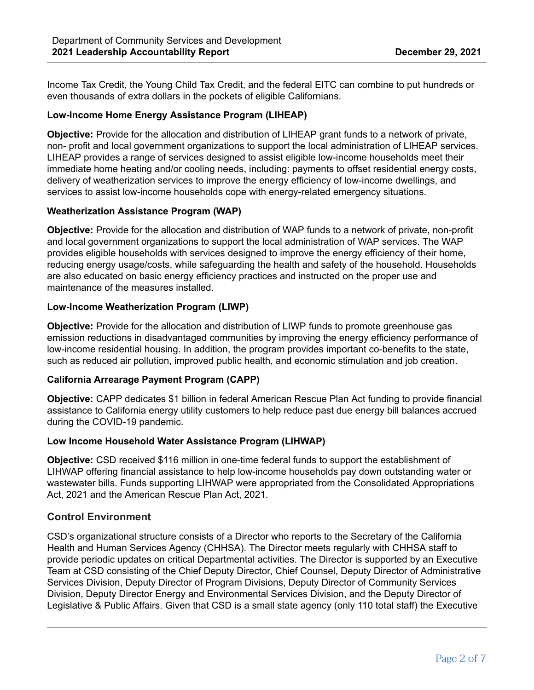Income Tax Credit, the Young Child Tax Credit, and the federal EITC can combine to put hundreds or even thousands of extra dollars in the pockets of eligible Californians.

### **Low-Income Home Energy Assistance Program (LIHEAP)**

**Objective:** Provide for the allocation and distribution of LIHEAP grant funds to a network of private, non- profit and local government organizations to support the local administration of LIHEAP services. LIHEAP provides a range of services designed to assist eligible low-income households meet their immediate home heating and/or cooling needs, including: payments to offset residential energy costs, delivery of weatherization services to improve the energy efficiency of low-income dwellings, and services to assist low-income households cope with energy-related emergency situations.

### **Weatherization Assistance Program (WAP)**

**Objective:** Provide for the allocation and distribution of WAP funds to a network of private, non-profit and local government organizations to support the local administration of WAP services. The WAP provides eligible households with services designed to improve the energy efficiency of their home, reducing energy usage/costs, while safeguarding the health and safety of the household. Households are also educated on basic energy efficiency practices and instructed on the proper use and maintenance of the measures installed.

### **Low-Income Weatherization Program (LIWP)**

**Objective:** Provide for the allocation and distribution of LIWP funds to promote greenhouse gas emission reductions in disadvantaged communities by improving the energy efficiency performance of low-income residential housing. In addition, the program provides important co-benefits to the state, such as reduced air pollution, improved public health, and economic stimulation and job creation.

### **California Arrearage Payment Program (CAPP)**

**Objective:** CAPP dedicates \$1 billion in federal American Rescue Plan Act funding to provide financial assistance to California energy utility customers to help reduce past due energy bill balances accrued during the COVID-19 pandemic.

### **Low Income Household Water Assistance Program (LIHWAP)**

**Objective:** CSD received \$116 million in one-time federal funds to support the establishment of LIHWAP offering financial assistance to help low-income households pay down outstanding water or wastewater bills. Funds supporting LIHWAP were appropriated from the Consolidated Appropriations Act, 2021 and the American Rescue Plan Act, 2021.

# **Control Environment**

CSD's organizational structure consists of a Director who reports to the Secretary of the California Health and Human Services Agency (CHHSA). The Director meets regularly with CHHSA staff to provide periodic updates on critical Departmental activities. The Director is supported by an Executive Team at CSD consisting of the Chief Deputy Director, Chief Counsel, Deputy Director of Administrative Services Division, Deputy Director of Program Divisions, Deputy Director of Community Services Division, Deputy Director Energy and Environmental Services Division, and the Deputy Director of Legislative & Public Affairs. Given that CSD is a small state agency (only 110 total staff) the Executive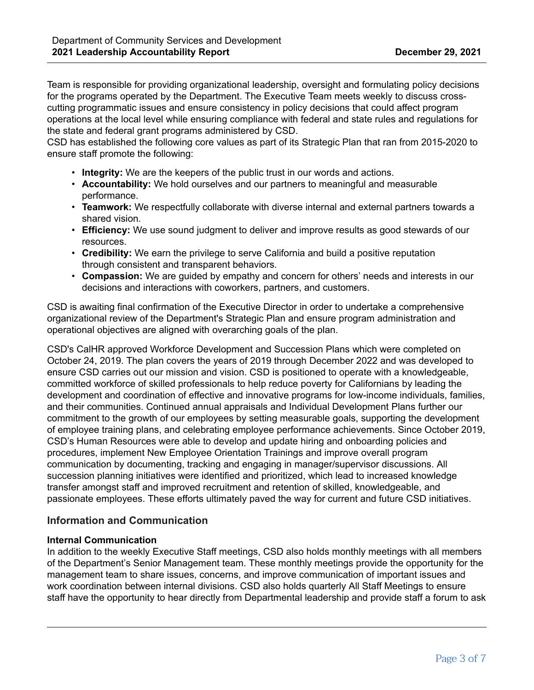Team is responsible for providing organizational leadership, oversight and formulating policy decisions for the programs operated by the Department. The Executive Team meets weekly to discuss crosscutting programmatic issues and ensure consistency in policy decisions that could affect program operations at the local level while ensuring compliance with federal and state rules and regulations for the state and federal grant programs administered by CSD.

CSD has established the following core values as part of its Strategic Plan that ran from 2015-2020 to ensure staff promote the following:

- **Integrity:** We are the keepers of the public trust in our words and actions.
- **Accountability:** We hold ourselves and our partners to meaningful and measurable performance.
- **Teamwork:** We respectfully collaborate with diverse internal and external partners towards a shared vision.
- **Efficiency:** We use sound judgment to deliver and improve results as good stewards of our resources.
- **Credibility:** We earn the privilege to serve California and build a positive reputation through consistent and transparent behaviors.
- **Compassion:** We are guided by empathy and concern for others' needs and interests in our decisions and interactions with coworkers, partners, and customers.

CSD is awaiting final confirmation of the Executive Director in order to undertake a comprehensive organizational review of the Department's Strategic Plan and ensure program administration and operational objectives are aligned with overarching goals of the plan.

CSD's CalHR approved Workforce Development and Succession Plans which were completed on October 24, 2019. The plan covers the years of 2019 through December 2022 and was developed to ensure CSD carries out our mission and vision. CSD is positioned to operate with a knowledgeable, committed workforce of skilled professionals to help reduce poverty for Californians by leading the development and coordination of effective and innovative programs for low-income individuals, families, and their communities. Continued annual appraisals and Individual Development Plans further our commitment to the growth of our employees by setting measurable goals, supporting the development of employee training plans, and celebrating employee performance achievements. Since October 2019, CSD's Human Resources were able to develop and update hiring and onboarding policies and procedures, implement New Employee Orientation Trainings and improve overall program communication by documenting, tracking and engaging in manager/supervisor discussions. All succession planning initiatives were identified and prioritized, which lead to increased knowledge transfer amongst staff and improved recruitment and retention of skilled, knowledgeable, and passionate employees. These efforts ultimately paved the way for current and future CSD initiatives.

# **Information and Communication**

#### **Internal Communication**

In addition to the weekly Executive Staff meetings, CSD also holds monthly meetings with all members of the Department's Senior Management team. These monthly meetings provide the opportunity for the management team to share issues, concerns, and improve communication of important issues and work coordination between internal divisions. CSD also holds quarterly All Staff Meetings to ensure staff have the opportunity to hear directly from Departmental leadership and provide staff a forum to ask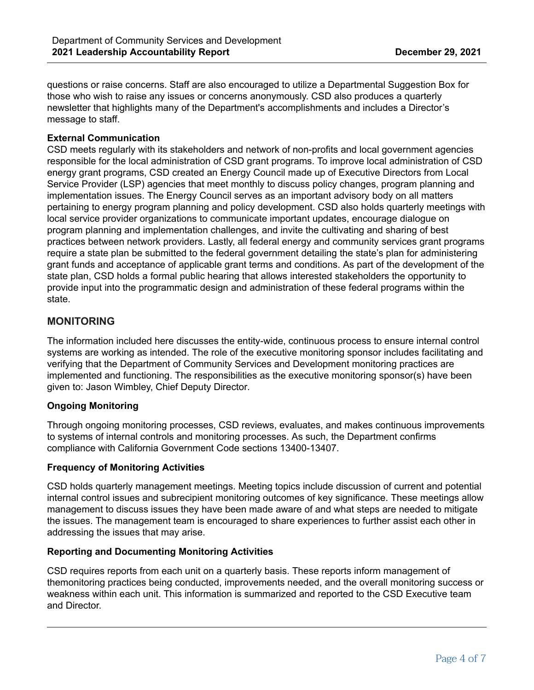questions or raise concerns. Staff are also encouraged to utilize a Departmental Suggestion Box for those who wish to raise any issues or concerns anonymously. CSD also produces a quarterly newsletter that highlights many of the Department's accomplishments and includes a Director's message to staff.

### **External Communication**

CSD meets regularly with its stakeholders and network of non-profits and local government agencies responsible for the local administration of CSD grant programs. To improve local administration of CSD energy grant programs, CSD created an Energy Council made up of Executive Directors from Local Service Provider (LSP) agencies that meet monthly to discuss policy changes, program planning and implementation issues. The Energy Council serves as an important advisory body on all matters pertaining to energy program planning and policy development. CSD also holds quarterly meetings with local service provider organizations to communicate important updates, encourage dialogue on program planning and implementation challenges, and invite the cultivating and sharing of best practices between network providers. Lastly, all federal energy and community services grant programs require a state plan be submitted to the federal government detailing the state's plan for administering grant funds and acceptance of applicable grant terms and conditions. As part of the development of the state plan, CSD holds a formal public hearing that allows interested stakeholders the opportunity to provide input into the programmatic design and administration of these federal programs within the state.

# **MONITORING**

The information included here discusses the entity-wide, continuous process to ensure internal control systems are working as intended. The role of the executive monitoring sponsor includes facilitating and verifying that the Department of Community Services and Development monitoring practices are implemented and functioning. The responsibilities as the executive monitoring sponsor(s) have been given to: Jason Wimbley, Chief Deputy Director.

# **Ongoing Monitoring**

Through ongoing monitoring processes, CSD reviews, evaluates, and makes continuous improvements to systems of internal controls and monitoring processes. As such, the Department confirms compliance with California Government Code sections 13400-13407.

# **Frequency of Monitoring Activities**

CSD holds quarterly management meetings. Meeting topics include discussion of current and potential internal control issues and subrecipient monitoring outcomes of key significance. These meetings allow management to discuss issues they have been made aware of and what steps are needed to mitigate the issues. The management team is encouraged to share experiences to further assist each other in addressing the issues that may arise.

### **Reporting and Documenting Monitoring Activities**

CSD requires reports from each unit on a quarterly basis. These reports inform management of themonitoring practices being conducted, improvements needed, and the overall monitoring success or weakness within each unit. This information is summarized and reported to the CSD Executive team and Director.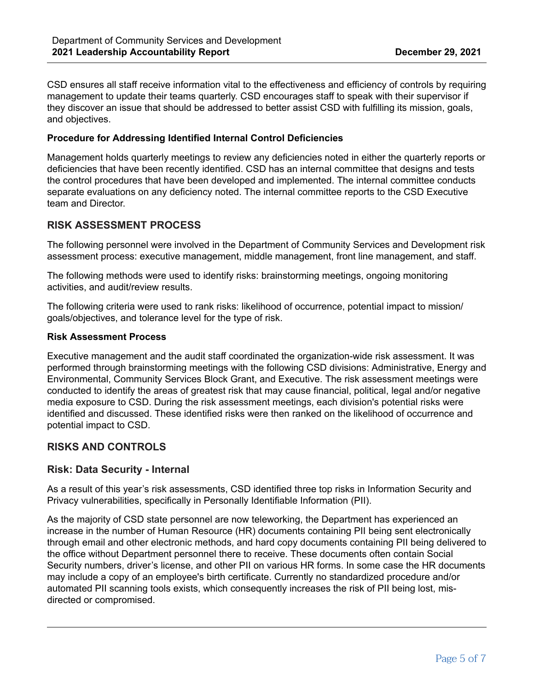CSD ensures all staff receive information vital to the effectiveness and efficiency of controls by requiring management to update their teams quarterly. CSD encourages staff to speak with their supervisor if they discover an issue that should be addressed to better assist CSD with fulfilling its mission, goals, and objectives.

#### **Procedure for Addressing Identified Internal Control Deficiencies**

Management holds quarterly meetings to review any deficiencies noted in either the quarterly reports or deficiencies that have been recently identified. CSD has an internal committee that designs and tests the control procedures that have been developed and implemented. The internal committee conducts separate evaluations on any deficiency noted. The internal committee reports to the CSD Executive team and Director.

# **RISK ASSESSMENT PROCESS**

The following personnel were involved in the Department of Community Services and Development risk assessment process: executive management, middle management, front line management, and staff.

The following methods were used to identify risks: brainstorming meetings, ongoing monitoring activities, and audit/review results.

The following criteria were used to rank risks: likelihood of occurrence, potential impact to mission/ goals/objectives, and tolerance level for the type of risk.

#### **Risk Assessment Process**

Executive management and the audit staff coordinated the organization-wide risk assessment. It was performed through brainstorming meetings with the following CSD divisions: Administrative, Energy and Environmental, Community Services Block Grant, and Executive. The risk assessment meetings were conducted to identify the areas of greatest risk that may cause financial, political, legal and/or negative media exposure to CSD. During the risk assessment meetings, each division's potential risks were identified and discussed. These identified risks were then ranked on the likelihood of occurrence and potential impact to CSD.

### **RISKS AND CONTROLS**

### **Risk: Data Security - Internal**

As a result of this year's risk assessments, CSD identified three top risks in Information Security and Privacy vulnerabilities, specifically in Personally Identifiable Information (PII).

As the majority of CSD state personnel are now teleworking, the Department has experienced an increase in the number of Human Resource (HR) documents containing PII being sent electronically through email and other electronic methods, and hard copy documents containing PII being delivered to the office without Department personnel there to receive. These documents often contain Social Security numbers, driver's license, and other PII on various HR forms. In some case the HR documents may include a copy of an employee's birth certificate. Currently no standardized procedure and/or automated PII scanning tools exists, which consequently increases the risk of PII being lost, misdirected or compromised.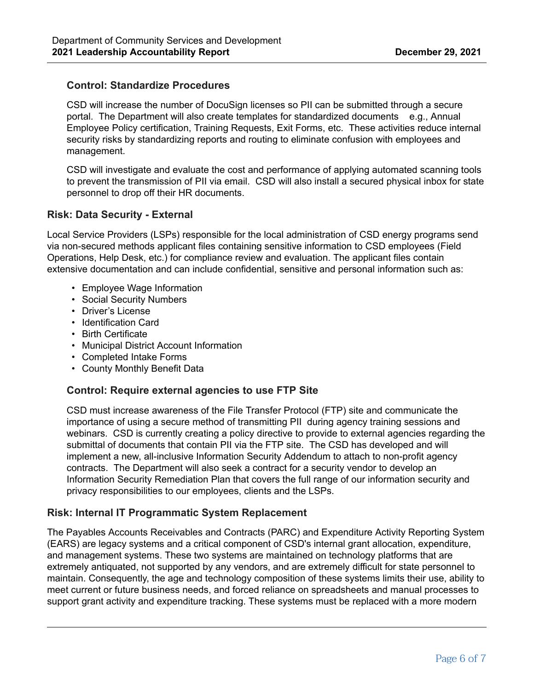### **Control: Standardize Procedures**

CSD will increase the number of DocuSign licenses so PII can be submitted through a secure portal. The Department will also create templates for standardized documents e.g., Annual Employee Policy certification, Training Requests, Exit Forms, etc. These activities reduce internal security risks by standardizing reports and routing to eliminate confusion with employees and management.

CSD will investigate and evaluate the cost and performance of applying automated scanning tools to prevent the transmission of PII via email. CSD will also install a secured physical inbox for state personnel to drop off their HR documents.

# **Risk: Data Security - External**

Local Service Providers (LSPs) responsible for the local administration of CSD energy programs send via non-secured methods applicant files containing sensitive information to CSD employees (Field Operations, Help Desk, etc.) for compliance review and evaluation. The applicant files contain extensive documentation and can include confidential, sensitive and personal information such as:

- Employee Wage Information
- Social Security Numbers
- Driver's License
- Identification Card
- Birth Certificate
- Municipal District Account Information
- Completed Intake Forms
- County Monthly Benefit Data

# **Control: Require external agencies to use FTP Site**

CSD must increase awareness of the File Transfer Protocol (FTP) site and communicate the importance of using a secure method of transmitting PII during agency training sessions and webinars. CSD is currently creating a policy directive to provide to external agencies regarding the submittal of documents that contain PII via the FTP site. The CSD has developed and will implement a new, all-inclusive Information Security Addendum to attach to non-profit agency contracts. The Department will also seek a contract for a security vendor to develop an Information Security Remediation Plan that covers the full range of our information security and privacy responsibilities to our employees, clients and the LSPs.

# **Risk: Internal IT Programmatic System Replacement**

The Payables Accounts Receivables and Contracts (PARC) and Expenditure Activity Reporting System (EARS) are legacy systems and a critical component of CSD's internal grant allocation, expenditure, and management systems. These two systems are maintained on technology platforms that are extremely antiquated, not supported by any vendors, and are extremely difficult for state personnel to maintain. Consequently, the age and technology composition of these systems limits their use, ability to meet current or future business needs, and forced reliance on spreadsheets and manual processes to support grant activity and expenditure tracking. These systems must be replaced with a more modern